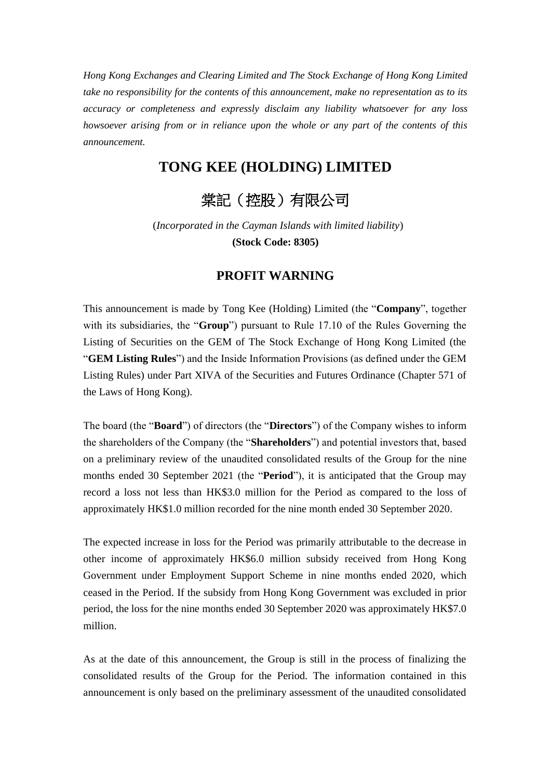*Hong Kong Exchanges and Clearing Limited and The Stock Exchange of Hong Kong Limited take no responsibility for the contents of this announcement, make no representation as to its accuracy or completeness and expressly disclaim any liability whatsoever for any loss howsoever arising from or in reliance upon the whole or any part of the contents of this announcement.* 

## **TONG KEE (HOLDING) LIMITED**

## 棠記(控股)有限公司

(*Incorporated in the Cayman Islands with limited liability*) **(Stock Code: 8305)**

## **PROFIT WARNING**

This announcement is made by Tong Kee (Holding) Limited (the "**Company**", together with its subsidiaries, the "**Group**") pursuant to Rule 17.10 of the Rules Governing the Listing of Securities on the GEM of The Stock Exchange of Hong Kong Limited (the "**GEM Listing Rules**") and the Inside Information Provisions (as defined under the GEM Listing Rules) under Part XIVA of the Securities and Futures Ordinance (Chapter 571 of the Laws of Hong Kong).

The board (the "**Board**") of directors (the "**Directors**") of the Company wishes to inform the shareholders of the Company (the "**Shareholders**") and potential investors that, based on a preliminary review of the unaudited consolidated results of the Group for the nine months ended 30 September 2021 (the "**Period**"), it is anticipated that the Group may record a loss not less than HK\$3.0 million for the Period as compared to the loss of approximately HK\$1.0 million recorded for the nine month ended 30 September 2020.

The expected increase in loss for the Period was primarily attributable to the decrease in other income of approximately HK\$6.0 million subsidy received from Hong Kong Government under Employment Support Scheme in nine months ended 2020, which ceased in the Period. If the subsidy from Hong Kong Government was excluded in prior period, the loss for the nine months ended 30 September 2020 was approximately HK\$7.0 million.

As at the date of this announcement, the Group is still in the process of finalizing the consolidated results of the Group for the Period. The information contained in this announcement is only based on the preliminary assessment of the unaudited consolidated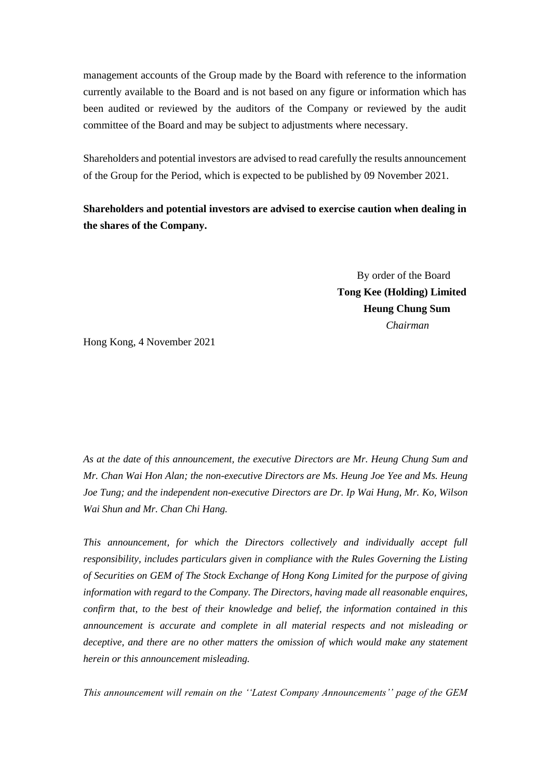management accounts of the Group made by the Board with reference to the information currently available to the Board and is not based on any figure or information which has been audited or reviewed by the auditors of the Company or reviewed by the audit committee of the Board and may be subject to adjustments where necessary.

Shareholders and potential investors are advised to read carefully the results announcement of the Group for the Period, which is expected to be published by 09 November 2021.

**Shareholders and potential investors are advised to exercise caution when dealing in the shares of the Company.**

> By order of the Board **Tong Kee (Holding) Limited Heung Chung Sum** *Chairman*

Hong Kong, 4 November 2021

*As at the date of this announcement, the executive Directors are Mr. Heung Chung Sum and Mr. Chan Wai Hon Alan; the non-executive Directors are Ms. Heung Joe Yee and Ms. Heung Joe Tung; and the independent non-executive Directors are Dr. Ip Wai Hung, Mr. Ko, Wilson Wai Shun and Mr. Chan Chi Hang.*

*This announcement, for which the Directors collectively and individually accept full responsibility, includes particulars given in compliance with the Rules Governing the Listing of Securities on GEM of The Stock Exchange of Hong Kong Limited for the purpose of giving information with regard to the Company. The Directors, having made all reasonable enquires, confirm that, to the best of their knowledge and belief, the information contained in this announcement is accurate and complete in all material respects and not misleading or deceptive, and there are no other matters the omission of which would make any statement herein or this announcement misleading.*

*This announcement will remain on the ''Latest Company Announcements'' page of the GEM*